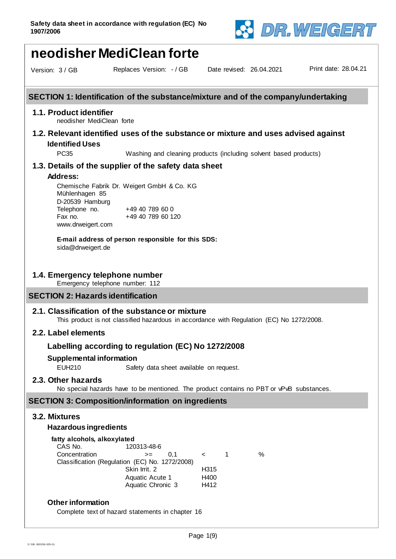

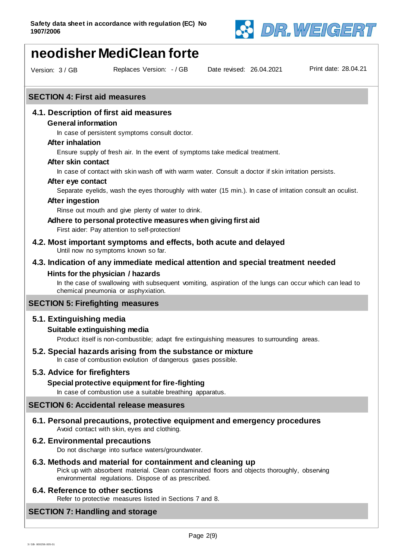

# **neodisher MediClean forte**

Version: 3 / GB Replaces Version: - / GB

Date revised: 26.04.2021 Print date: 28.04.21

#### **SECTION 4: First aid measures**

## **4.1. Description of first aid measures**

#### **General information**

In case of persistent symptoms consult doctor.

#### **After inhalation**

Ensure supply of fresh air. In the event of symptoms take medical treatment.

#### **After skin contact**

In case of contact with skin wash off with warm water. Consult a doctor if skin irritation persists.

## **After eye contact**

Separate eyelids, wash the eyes thoroughly with water (15 min.). In case of irritation consult an oculist.

# **After ingestion**

Rinse out mouth and give plenty of water to drink.

#### **Adhere to personal protective measures when giving first aid**

First aider: Pay attention to self-protection!

**4.2. Most important symptoms and effects, both acute and delayed** Until now no symptoms known so far.

# **4.3. Indication of any immediate medical attention and special treatment needed**

#### **Hints for the physician / hazards**

In the case of swallowing with subsequent vomiting, aspiration of the lungs can occur which can lead to chemical pneumonia or asphyxiation.

# **SECTION 5: Firefighting measures**

#### **5.1. Extinguishing media**

#### **Suitable extinguishing media**

Product itself is non-combustible; adapt fire extinguishing measures to surrounding areas.

# **5.2. Special hazards arising from the substance or mixture**

In case of combustion evolution of dangerous gases possible.

## **5.3. Advice for firefighters**

#### **Special protective equipment for fire-fighting**

In case of combustion use a suitable breathing apparatus.

# **SECTION 6: Accidental release measures**

**6.1. Personal precautions, protective equipment and emergency procedures** Avoid contact with skin, eyes and clothing.

#### **6.2. Environmental precautions**

Do not discharge into surface waters/groundwater.

# **6.3. Methods and material for containment and cleaning up**

Pick up with absorbent material. Clean contaminated floors and objects thoroughly, observing environmental regulations. Dispose of as prescribed.

#### **6.4. Reference to other sections**

Refer to protective measures listed in Sections 7 and 8.

# **SECTION 7: Handling and storage**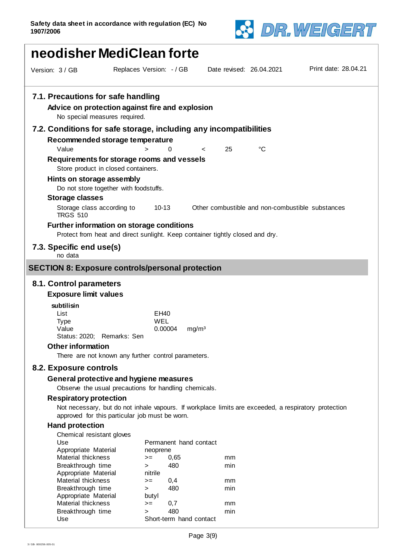

| neodisher MediClean forte                                         |                                                                                                                                                        |                                                    |                          |             |                                                  |  |
|-------------------------------------------------------------------|--------------------------------------------------------------------------------------------------------------------------------------------------------|----------------------------------------------------|--------------------------|-------------|--------------------------------------------------|--|
| Version: 3 / GB                                                   | Replaces Version: - / GB                                                                                                                               |                                                    | Date revised: 26.04.2021 |             | Print date: 28.04.21                             |  |
| 7.1. Precautions for safe handling                                | Advice on protection against fire and explosion<br>No special measures required.                                                                       |                                                    |                          |             |                                                  |  |
| 7.2. Conditions for safe storage, including any incompatibilities |                                                                                                                                                        |                                                    |                          |             |                                                  |  |
| Value                                                             | Recommended storage temperature<br>>                                                                                                                   | 0                                                  | 25<br><                  | $^{\circ}C$ |                                                  |  |
|                                                                   | Requirements for storage rooms and vessels<br>Store product in closed containers.                                                                      |                                                    |                          |             |                                                  |  |
| Hints on storage assembly                                         | Do not store together with foodstuffs.                                                                                                                 |                                                    |                          |             |                                                  |  |
| <b>Storage classes</b>                                            |                                                                                                                                                        |                                                    |                          |             |                                                  |  |
| Storage class according to<br><b>TRGS 510</b>                     |                                                                                                                                                        | $10 - 13$                                          |                          |             | Other combustible and non-combustible substances |  |
|                                                                   | <b>Further information on storage conditions</b><br>Protect from heat and direct sunlight. Keep container tightly closed and dry.                      |                                                    |                          |             |                                                  |  |
| 7.3. Specific end use(s)<br>no data                               |                                                                                                                                                        |                                                    |                          |             |                                                  |  |
| <b>SECTION 8: Exposure controls/personal protection</b>           |                                                                                                                                                        |                                                    |                          |             |                                                  |  |
| 8.1. Control parameters                                           |                                                                                                                                                        |                                                    |                          |             |                                                  |  |
| <b>Exposure limit values</b>                                      |                                                                                                                                                        |                                                    |                          |             |                                                  |  |
| subtilisin<br>List<br><b>Type</b><br>Value                        | Status: 2020; Remarks: Sen                                                                                                                             | EH40<br><b>WEL</b><br>0.00004<br>mg/m <sup>3</sup> |                          |             |                                                  |  |
| <b>Other information</b>                                          |                                                                                                                                                        |                                                    |                          |             |                                                  |  |
|                                                                   | There are not known any further control parameters.                                                                                                    |                                                    |                          |             |                                                  |  |
| 8.2. Exposure controls                                            |                                                                                                                                                        |                                                    |                          |             |                                                  |  |
|                                                                   | General protective and hygiene measures<br>Observe the usual precautions for handling chemicals.                                                       |                                                    |                          |             |                                                  |  |
| <b>Respiratory protection</b>                                     | Not necessary, but do not inhale vapours. If workplace limits are exceeded, a respiratory protection<br>approved for this particular job must be worn. |                                                    |                          |             |                                                  |  |
| <b>Hand protection</b>                                            |                                                                                                                                                        |                                                    |                          |             |                                                  |  |
| Chemical resistant gloves<br>Use<br>Appropriate Material          |                                                                                                                                                        | Permanent hand contact                             |                          |             |                                                  |  |
| Material thickness                                                | $>=$                                                                                                                                                   | neoprene<br>0,65                                   | mm                       |             |                                                  |  |
| Breakthrough time<br>Appropriate Material                         | ><br>nitrile                                                                                                                                           | 480                                                | min                      |             |                                                  |  |

Short-term hand contact

Appropriate Material

Appropriate Material butyl

Material thickness  $\qquad \qquad \Rightarrow \qquad 0,4$  mm Breakthrough time  $\qquad \qquad$  > 480 min

Material thickness  $\qquad \qquad \Rightarrow \qquad 0.7$  mm Breakthrough time  $\longrightarrow$  480 min<br>Use Short-term hand contact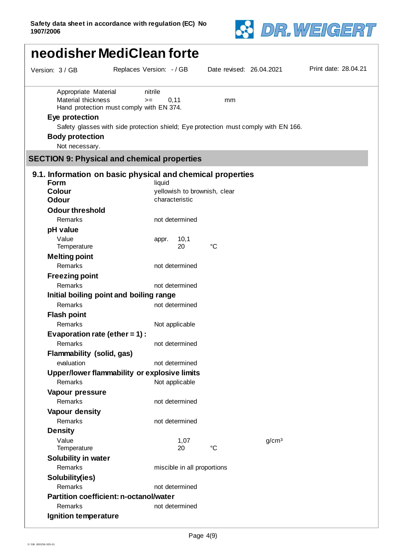

| neodisher MediClean forte                                                                                |                                                                                                                                                             |                          |                   |                      |  |  |
|----------------------------------------------------------------------------------------------------------|-------------------------------------------------------------------------------------------------------------------------------------------------------------|--------------------------|-------------------|----------------------|--|--|
| Version: 3 / GB                                                                                          | Replaces Version: - / GB                                                                                                                                    | Date revised: 26.04.2021 |                   | Print date: 28.04.21 |  |  |
| Appropriate Material<br>Material thickness<br>Eye protection<br><b>Body protection</b><br>Not necessary. | nitrile<br>0, 11<br>$>=$<br>Hand protection must comply with EN 374.<br>Safety glasses with side protection shield; Eye protection must comply with EN 166. | mm                       |                   |                      |  |  |
|                                                                                                          | <b>SECTION 9: Physical and chemical properties</b>                                                                                                          |                          |                   |                      |  |  |
| Form<br><b>Colour</b><br><b>Odour</b>                                                                    | 9.1. Information on basic physical and chemical properties<br>liquid<br>yellowish to brownish, clear<br>characteristic                                      |                          |                   |                      |  |  |
| <b>Odour threshold</b><br>Remarks<br>pH value                                                            | not determined                                                                                                                                              |                          |                   |                      |  |  |
| Value<br>Temperature<br><b>Melting point</b><br>Remarks                                                  | 10,1<br>appr.<br>20<br>not determined                                                                                                                       | $^{\circ}C$              |                   |                      |  |  |
| <b>Freezing point</b><br>Remarks                                                                         | not determined<br>Initial boiling point and boiling range                                                                                                   |                          |                   |                      |  |  |
| Remarks<br><b>Flash point</b><br>Remarks<br>Evaporation rate (ether = $1$ ):                             | not determined<br>Not applicable                                                                                                                            |                          |                   |                      |  |  |
| Remarks<br>Flammability (solid, gas)<br>evaluation                                                       | not determined<br>not determined                                                                                                                            |                          |                   |                      |  |  |
| Remarks<br>Vapour pressure                                                                               | Upper/lower flammability or explosive limits<br>Not applicable                                                                                              |                          |                   |                      |  |  |
| Remarks<br>Vapour density<br>Remarks<br><b>Density</b>                                                   | not determined<br>not determined                                                                                                                            |                          |                   |                      |  |  |
| Value<br>Temperature<br><b>Solubility in water</b>                                                       | 1,07<br>20                                                                                                                                                  | $\rm ^{\circ}C$          | g/cm <sup>3</sup> |                      |  |  |
| Remarks<br>Solubility(ies)<br>Remarks                                                                    | miscible in all proportions<br>not determined                                                                                                               |                          |                   |                      |  |  |
| Remarks<br>Ignition temperature                                                                          | <b>Partition coefficient: n-octanol/water</b><br>not determined                                                                                             |                          |                   |                      |  |  |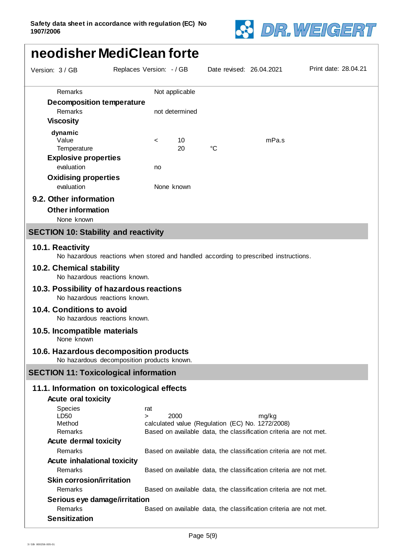

# Date revised: 26.04.2021 Print date: 28.04.21 Version: 3 / GB Replaces Version: - / GB  **neodisher MediClean forte** Remarks Not applicable **Decomposition temperature** Remarks not determined **Viscosity**

**dynamic**<br>Value Value < 10 mPa.s Temperature 20 °C **Explosive properties** evaluation no **Oxidising properties** evaluation **None** known

# **9.2. Other information**

**Other information**

None known

# **SECTION 10: Stability and reactivity**

#### **10.1. Reactivity**

No hazardous reactions when stored and handled according to prescribed instructions.

#### **10.2. Chemical stability**

No hazardous reactions known.

#### **10.3. Possibility of hazardous reactions** No hazardous reactions known.

# **10.4. Conditions to avoid**

No hazardous reactions known.

#### **10.5. Incompatible materials**

None known

#### **10.6. Hazardous decomposition products**

No hazardous decomposition products known.

#### **SECTION 11: Toxicological information**

#### **11.1. Information on toxicological effects**

# **Acute oral toxicity** Species rat<br>LD50 > LD50 > 2000 mg/kg Method calculated value (Regulation (EC) No. 1272/2008) Remarks **Based on available data, the classification criteria are not met. Acute dermal toxicity** Remarks **Based on available data, the classification criteria are not met. Acute inhalational toxicity** Remarks **Based on available data, the classification criteria are not met. Skin corrosion/irritation** Remarks Based on available data, the classification criteria are not met. **Serious eye damage/irritation** Remarks **Based on available data, the classification criteria are not met. Sensitization**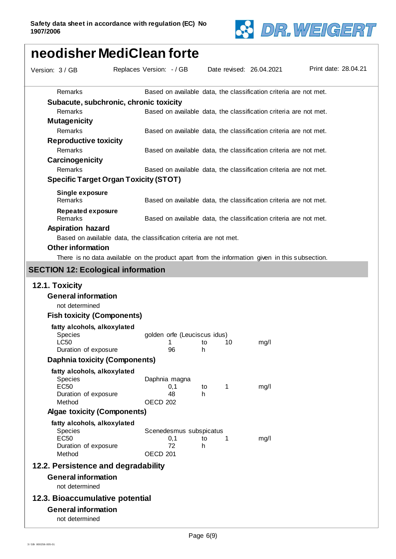

| neodisher MediClean forte                                         |                          |                     |                              |                   |                                                                                                |                      |
|-------------------------------------------------------------------|--------------------------|---------------------|------------------------------|-------------------|------------------------------------------------------------------------------------------------|----------------------|
| Version: 3 / GB                                                   | Replaces Version: - / GB |                     |                              |                   | Date revised: 26.04.2021                                                                       | Print date: 28.04.21 |
| Remarks                                                           |                          |                     |                              |                   | Based on available data, the classification criteria are not met.                              |                      |
| Subacute, subchronic, chronic toxicity                            |                          |                     |                              |                   |                                                                                                |                      |
| Remarks                                                           |                          |                     |                              |                   | Based on available data, the classification criteria are not met.                              |                      |
| <b>Mutagenicity</b>                                               |                          |                     |                              |                   |                                                                                                |                      |
| Remarks                                                           |                          |                     |                              |                   | Based on available data, the classification criteria are not met.                              |                      |
| <b>Reproductive toxicity</b>                                      |                          |                     |                              |                   |                                                                                                |                      |
| Remarks                                                           |                          |                     |                              |                   | Based on available data, the classification criteria are not met.                              |                      |
| Carcinogenicity                                                   |                          |                     |                              |                   |                                                                                                |                      |
| Remarks                                                           |                          |                     |                              |                   | Based on available data, the classification criteria are not met.                              |                      |
| <b>Specific Target Organ Toxicity (STOT)</b>                      |                          |                     |                              |                   |                                                                                                |                      |
| Single exposure<br>Remarks                                        |                          |                     |                              |                   |                                                                                                |                      |
|                                                                   |                          |                     |                              |                   | Based on available data, the classification criteria are not met.                              |                      |
| Repeated exposure<br>Remarks                                      |                          |                     |                              |                   | Based on available data, the classification criteria are not met.                              |                      |
| <b>Aspiration hazard</b>                                          |                          |                     |                              |                   |                                                                                                |                      |
| Based on available data, the classification criteria are not met. |                          |                     |                              |                   |                                                                                                |                      |
| <b>Other information</b>                                          |                          |                     |                              |                   |                                                                                                |                      |
|                                                                   |                          |                     |                              |                   | There is no data available on the product apart from the information given in this subsection. |                      |
| <b>SECTION 12: Ecological information</b>                         |                          |                     |                              |                   |                                                                                                |                      |
|                                                                   |                          |                     |                              |                   |                                                                                                |                      |
| 12.1. Toxicity                                                    |                          |                     |                              |                   |                                                                                                |                      |
| <b>General information</b>                                        |                          |                     |                              |                   |                                                                                                |                      |
| not determined                                                    |                          |                     |                              |                   |                                                                                                |                      |
| <b>Fish toxicity (Components)</b>                                 |                          |                     |                              |                   |                                                                                                |                      |
| fatty alcohols, alkoxylated                                       |                          |                     |                              |                   |                                                                                                |                      |
| <b>Species</b><br>LC50                                            |                          |                     | golden orfe (Leuciscus idus) | 1 to 10           |                                                                                                |                      |
| Duration of exposure                                              |                          |                     | 96                           | h                 | mg/l                                                                                           |                      |
| <b>Daphnia toxicity (Components)</b>                              |                          |                     |                              |                   |                                                                                                |                      |
| fatty alcohols, alkoxylated                                       |                          |                     |                              |                   |                                                                                                |                      |
| <b>Species</b>                                                    |                          |                     | Daphnia magna                |                   |                                                                                                |                      |
| <b>EC50</b>                                                       |                          |                     | 0,1                          | 1<br>to           | mg/l                                                                                           |                      |
| Duration of exposure<br>Method                                    |                          | OECD <sub>202</sub> | 48                           | h.                |                                                                                                |                      |
| <b>Algae toxicity (Components)</b>                                |                          |                     |                              |                   |                                                                                                |                      |
|                                                                   |                          |                     |                              |                   |                                                                                                |                      |
| fatty alcohols, alkoxylated<br><b>Species</b>                     |                          |                     | Scenedesmus subspicatus      |                   |                                                                                                |                      |
| <b>EC50</b>                                                       |                          |                     | 0,1                          | to<br>$\mathbf 1$ | mg/l                                                                                           |                      |
| Duration of exposure                                              |                          |                     | 72                           | h.                |                                                                                                |                      |
| Method                                                            |                          | OECD <sub>201</sub> |                              |                   |                                                                                                |                      |
| 12.2. Persistence and degradability                               |                          |                     |                              |                   |                                                                                                |                      |
| <b>General information</b><br>not determined                      |                          |                     |                              |                   |                                                                                                |                      |
| 12.3. Bioaccumulative potential                                   |                          |                     |                              |                   |                                                                                                |                      |
| <b>General information</b>                                        |                          |                     |                              |                   |                                                                                                |                      |
| not determined                                                    |                          |                     |                              |                   |                                                                                                |                      |
|                                                                   |                          |                     |                              |                   |                                                                                                |                      |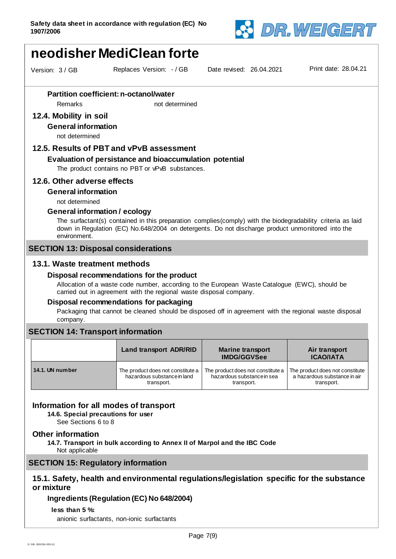

# **neodisher MediClean forte**

Version: 3 / GB Replaces Version: - / GB

Date revised: 26.04.2021 Print date: 28.04.21

# **Partition coefficient: n-octanol/water**

Remarks not determined

# **12.4. Mobility in soil**

**General information**

not determined

## **12.5. Results of PBT and vPvB assessment**

#### **Evaluation of persistance and bioaccumulation potential**

The product contains no PBT or vPvB substances.

#### **12.6. Other adverse effects**

#### **General information**

not determined

#### **General information / ecology**

The surfactant(s) contained in this preparation complies(comply) with the biodegradability criteria as laid down in Regulation (EC) No.648/2004 on detergents. Do not discharge product unmonitored into the environment.

### **SECTION 13: Disposal considerations**

### **13.1. Waste treatment methods**

#### **Disposal recommendations for the product**

Allocation of a waste code number, according to the European Waste Catalogue (EWC), should be carried out in agreement with the regional waste disposal company.

#### **Disposal recommendations for packaging**

Packaging that cannot be cleaned should be disposed off in agreement with the regional waste disposal company.

#### **SECTION 14: Transport information**

|                 | <b>Land transport ADR/RID</b>     | <b>Marine transport</b><br><b>IMDG/GGVSee</b> | Air transport<br><b>ICAO/IATA</b> |  |
|-----------------|-----------------------------------|-----------------------------------------------|-----------------------------------|--|
| 14.1. UN number | The product does not constitute a | The product does not constitute a             | The product does not constitute   |  |
|                 | hazardous substance in land       | hazardous substance in sea                    | a hazardous substance in air      |  |
|                 | transport.                        | transport.                                    | transport.                        |  |

#### **Information for all modes of transport**

**14.6. Special precautions for user**

See Sections 6 to 8

#### **Other information**

**14.7. Transport in bulk according to Annex II of Marpol and the IBC Code** Not applicable

# **SECTION 15: Regulatory information**

# **15.1. Safety, health and environmental regulations/legislation specific for the substance or mixture**

#### **Ingredients (Regulation (EC) No 648/2004)**

#### **less than 5 %:**

anionic surfactants, non-ionic surfactants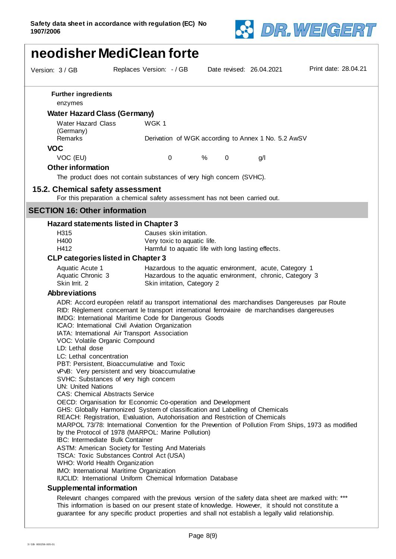

|                                                                                                                                                                                          | neodisher MediClean forte                                                                                                                                                                                                                                                                                                                                                                                                                                                                                                                                                                                                                                                                                                                                                                                                                                                                                                                                                                         |                                                                                                                                                     |     |                      |  |  |
|------------------------------------------------------------------------------------------------------------------------------------------------------------------------------------------|---------------------------------------------------------------------------------------------------------------------------------------------------------------------------------------------------------------------------------------------------------------------------------------------------------------------------------------------------------------------------------------------------------------------------------------------------------------------------------------------------------------------------------------------------------------------------------------------------------------------------------------------------------------------------------------------------------------------------------------------------------------------------------------------------------------------------------------------------------------------------------------------------------------------------------------------------------------------------------------------------|-----------------------------------------------------------------------------------------------------------------------------------------------------|-----|----------------------|--|--|
| Version: 3 / GB                                                                                                                                                                          | Replaces Version: - / GB                                                                                                                                                                                                                                                                                                                                                                                                                                                                                                                                                                                                                                                                                                                                                                                                                                                                                                                                                                          | Date revised: 26.04.2021                                                                                                                            |     | Print date: 28.04.21 |  |  |
| <b>Further ingredients</b><br>enzymes                                                                                                                                                    |                                                                                                                                                                                                                                                                                                                                                                                                                                                                                                                                                                                                                                                                                                                                                                                                                                                                                                                                                                                                   |                                                                                                                                                     |     |                      |  |  |
| <b>Water Hazard Class (Germany)</b>                                                                                                                                                      |                                                                                                                                                                                                                                                                                                                                                                                                                                                                                                                                                                                                                                                                                                                                                                                                                                                                                                                                                                                                   |                                                                                                                                                     |     |                      |  |  |
| <b>Water Hazard Class</b><br>(Germany)                                                                                                                                                   | WGK 1                                                                                                                                                                                                                                                                                                                                                                                                                                                                                                                                                                                                                                                                                                                                                                                                                                                                                                                                                                                             |                                                                                                                                                     |     |                      |  |  |
| Remarks                                                                                                                                                                                  |                                                                                                                                                                                                                                                                                                                                                                                                                                                                                                                                                                                                                                                                                                                                                                                                                                                                                                                                                                                                   | Derivation of WGK according to Annex 1 No. 5.2 AwSV                                                                                                 |     |                      |  |  |
| <b>VOC</b>                                                                                                                                                                               |                                                                                                                                                                                                                                                                                                                                                                                                                                                                                                                                                                                                                                                                                                                                                                                                                                                                                                                                                                                                   |                                                                                                                                                     |     |                      |  |  |
| VOC (EU)                                                                                                                                                                                 | 0                                                                                                                                                                                                                                                                                                                                                                                                                                                                                                                                                                                                                                                                                                                                                                                                                                                                                                                                                                                                 | %<br>$\mathbf 0$                                                                                                                                    | g/l |                      |  |  |
| <b>Other information</b>                                                                                                                                                                 |                                                                                                                                                                                                                                                                                                                                                                                                                                                                                                                                                                                                                                                                                                                                                                                                                                                                                                                                                                                                   |                                                                                                                                                     |     |                      |  |  |
|                                                                                                                                                                                          | The product does not contain substances of very high concern (SVHC).                                                                                                                                                                                                                                                                                                                                                                                                                                                                                                                                                                                                                                                                                                                                                                                                                                                                                                                              |                                                                                                                                                     |     |                      |  |  |
| 15.2. Chemical safety assessment                                                                                                                                                         |                                                                                                                                                                                                                                                                                                                                                                                                                                                                                                                                                                                                                                                                                                                                                                                                                                                                                                                                                                                                   |                                                                                                                                                     |     |                      |  |  |
|                                                                                                                                                                                          | For this preparation a chemical safety assessment has not been carried out.                                                                                                                                                                                                                                                                                                                                                                                                                                                                                                                                                                                                                                                                                                                                                                                                                                                                                                                       |                                                                                                                                                     |     |                      |  |  |
| <b>SECTION 16: Other information</b>                                                                                                                                                     |                                                                                                                                                                                                                                                                                                                                                                                                                                                                                                                                                                                                                                                                                                                                                                                                                                                                                                                                                                                                   |                                                                                                                                                     |     |                      |  |  |
|                                                                                                                                                                                          | Hazard statements listed in Chapter 3                                                                                                                                                                                                                                                                                                                                                                                                                                                                                                                                                                                                                                                                                                                                                                                                                                                                                                                                                             |                                                                                                                                                     |     |                      |  |  |
| H <sub>315</sub>                                                                                                                                                                         | Causes skin irritation.                                                                                                                                                                                                                                                                                                                                                                                                                                                                                                                                                                                                                                                                                                                                                                                                                                                                                                                                                                           |                                                                                                                                                     |     |                      |  |  |
| H400                                                                                                                                                                                     | Very toxic to aquatic life.                                                                                                                                                                                                                                                                                                                                                                                                                                                                                                                                                                                                                                                                                                                                                                                                                                                                                                                                                                       |                                                                                                                                                     |     |                      |  |  |
| H412                                                                                                                                                                                     |                                                                                                                                                                                                                                                                                                                                                                                                                                                                                                                                                                                                                                                                                                                                                                                                                                                                                                                                                                                                   | Harmful to aquatic life with long lasting effects.                                                                                                  |     |                      |  |  |
| <b>CLP categories listed in Chapter 3</b>                                                                                                                                                |                                                                                                                                                                                                                                                                                                                                                                                                                                                                                                                                                                                                                                                                                                                                                                                                                                                                                                                                                                                                   |                                                                                                                                                     |     |                      |  |  |
| Aquatic Acute 1<br>Aquatic Chronic 3<br>Skin Irrit. 2                                                                                                                                    |                                                                                                                                                                                                                                                                                                                                                                                                                                                                                                                                                                                                                                                                                                                                                                                                                                                                                                                                                                                                   | Hazardous to the aquatic environment, acute, Category 1<br>Hazardous to the aquatic environment, chronic, Category 3<br>Skin irritation, Category 2 |     |                      |  |  |
| <b>Abbreviations</b>                                                                                                                                                                     |                                                                                                                                                                                                                                                                                                                                                                                                                                                                                                                                                                                                                                                                                                                                                                                                                                                                                                                                                                                                   |                                                                                                                                                     |     |                      |  |  |
| VOC: Volatile Organic Compound<br>LD: Lethal dose<br>LC: Lethal concentration<br><b>UN: United Nations</b><br><b>CAS: Chemical Abstracts Service</b><br>IBC: Intermediate Bulk Container | ADR: Accord européen relatif au transport international des marchandises Dangereuses par Route<br>RID: Règlement concernant le transport international ferroviaire de marchandises dangereuses<br>IMDG: International Maritime Code for Dangerous Goods<br>ICAO: International Civil Aviation Organization<br>IATA: International Air Transport Association<br>PBT: Persistent, Bioaccumulative and Toxic<br>vPvB: Very persistent and very bioaccumulative<br>SVHC: Substances of very high concern<br>OECD: Organisation for Economic Co-operation and Development<br>GHS: Globally Harmonized System of classification and Labelling of Chemicals<br>REACH: Registration, Evaluation, Autohorisation and Restriction of Chemicals<br>MARPOL 73/78: International Convention for the Prevention of Pollution From Ships, 1973 as modified<br>by the Protocol of 1978 (MARPOL: Marine Pollution)<br>ASTM: American Society for Testing And Materials<br>TSCA: Toxic Substances Control Act (USA) |                                                                                                                                                     |     |                      |  |  |
| WHO: World Health Organization<br>IMO: International Maritime Organization<br><b>IUCLID:</b> International Uniform Chemical Information Database                                         |                                                                                                                                                                                                                                                                                                                                                                                                                                                                                                                                                                                                                                                                                                                                                                                                                                                                                                                                                                                                   |                                                                                                                                                     |     |                      |  |  |
|                                                                                                                                                                                          |                                                                                                                                                                                                                                                                                                                                                                                                                                                                                                                                                                                                                                                                                                                                                                                                                                                                                                                                                                                                   |                                                                                                                                                     |     |                      |  |  |
| <b>Supplemental information</b>                                                                                                                                                          |                                                                                                                                                                                                                                                                                                                                                                                                                                                                                                                                                                                                                                                                                                                                                                                                                                                                                                                                                                                                   |                                                                                                                                                     |     |                      |  |  |
|                                                                                                                                                                                          | Relevant changes compared with the previous version of the safety data sheet are marked with: ***<br>This information is based on our present state of knowledge. However, it should not constitute a<br>guarantee for any specific product properties and shall not establish a legally valid relationship.                                                                                                                                                                                                                                                                                                                                                                                                                                                                                                                                                                                                                                                                                      |                                                                                                                                                     |     |                      |  |  |